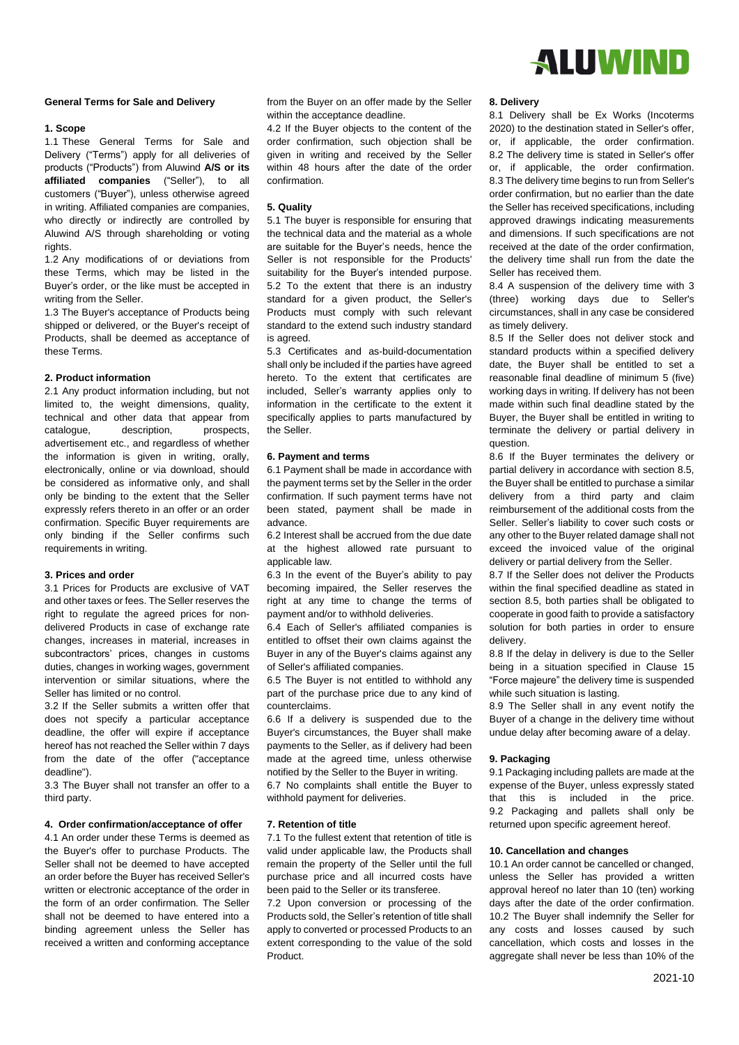

# **General Terms for Sale and Delivery**

# **1. Scope**

1.1 These General Terms for Sale and Delivery ("Terms") apply for all deliveries of products ("Products") from Aluwind **A/S or its affiliated companies** ("Seller"), to all customers ("Buyer"), unless otherwise agreed in writing. Affiliated companies are companies, who directly or indirectly are controlled by Aluwind A/S through shareholding or voting rights.

1.2 Any modifications of or deviations from these Terms, which may be listed in the Buyer's order, or the like must be accepted in writing from the Seller.

1.3 The Buyer's acceptance of Products being shipped or delivered, or the Buyer's receipt of Products, shall be deemed as acceptance of these Terms.

# **2. Product information**

2.1 Any product information including, but not limited to, the weight dimensions, quality, technical and other data that appear from catalogue, description, prospects, advertisement etc., and regardless of whether the information is given in writing, orally, electronically, online or via download, should be considered as informative only, and shall only be binding to the extent that the Seller expressly refers thereto in an offer or an order confirmation. Specific Buyer requirements are only binding if the Seller confirms such requirements in writing.

## **3. Prices and order**

3.1 Prices for Products are exclusive of VAT and other taxes or fees. The Seller reserves the right to regulate the agreed prices for nondelivered Products in case of exchange rate changes, increases in material, increases in subcontractors' prices, changes in customs duties, changes in working wages, government intervention or similar situations, where the Seller has limited or no control.

3.2 If the Seller submits a written offer that does not specify a particular acceptance deadline, the offer will expire if acceptance hereof has not reached the Seller within 7 days from the date of the offer ("acceptance deadline").

3.3 The Buyer shall not transfer an offer to a third party.

# **4. Order confirmation/acceptance of offer**

4.1 An order under these Terms is deemed as the Buyer's offer to purchase Products. The Seller shall not be deemed to have accepted an order before the Buyer has received Seller's written or electronic acceptance of the order in the form of an order confirmation. The Seller shall not be deemed to have entered into a binding agreement unless the Seller has received a written and conforming acceptance from the Buyer on an offer made by the Seller within the acceptance deadline.

4.2 If the Buyer objects to the content of the order confirmation, such objection shall be given in writing and received by the Seller within 48 hours after the date of the order confirmation.

#### **5. Quality**

5.1 The buyer is responsible for ensuring that the technical data and the material as a whole are suitable for the Buyer's needs, hence the Seller is not responsible for the Products' suitability for the Buyer's intended purpose. 5.2 To the extent that there is an industry standard for a given product, the Seller's Products must comply with such relevant standard to the extend such industry standard is agreed.

5.3 Certificates and as-build-documentation shall only be included if the parties have agreed hereto. To the extent that certificates are included, Seller's warranty applies only to information in the certificate to the extent it specifically applies to parts manufactured by the Seller.

## **6. Payment and terms**

6.1 Payment shall be made in accordance with the payment terms set by the Seller in the order confirmation. If such payment terms have not been stated, payment shall be made in advance.

6.2 Interest shall be accrued from the due date at the highest allowed rate pursuant to applicable law.

6.3 In the event of the Buyer's ability to pay becoming impaired, the Seller reserves the right at any time to change the terms of payment and/or to withhold deliveries.

6.4 Each of Seller's affiliated companies is entitled to offset their own claims against the Buyer in any of the Buyer's claims against any of Seller's affiliated companies.

6.5 The Buyer is not entitled to withhold any part of the purchase price due to any kind of counterclaims.

6.6 If a delivery is suspended due to the Buyer's circumstances, the Buyer shall make payments to the Seller, as if delivery had been made at the agreed time, unless otherwise notified by the Seller to the Buyer in writing.

6.7 No complaints shall entitle the Buyer to withhold payment for deliveries.

### **7. Retention of title**

7.1 To the fullest extent that retention of title is valid under applicable law, the Products shall remain the property of the Seller until the full purchase price and all incurred costs have been paid to the Seller or its transferee.

7.2 Upon conversion or processing of the Products sold, the Seller's retention of title shall apply to converted or processed Products to an extent corresponding to the value of the sold Product.

## **8. Delivery**

8.1 Delivery shall be Ex Works (Incoterms 2020) to the destination stated in Seller's offer, or, if applicable, the order confirmation. 8.2 The delivery time is stated in Seller's offer or, if applicable, the order confirmation. 8.3 The delivery time begins to run from Seller's order confirmation, but no earlier than the date the Seller has received specifications, including approved drawings indicating measurements and dimensions. If such specifications are not received at the date of the order confirmation, the delivery time shall run from the date the Seller has received them.

8.4 A suspension of the delivery time with 3 (three) working days due to Seller's circumstances, shall in any case be considered as timely delivery.

8.5 If the Seller does not deliver stock and standard products within a specified delivery date, the Buyer shall be entitled to set a reasonable final deadline of minimum 5 (five) working days in writing. If delivery has not been made within such final deadline stated by the Buyer, the Buyer shall be entitled in writing to terminate the delivery or partial delivery in question.

8.6 If the Buyer terminates the delivery or partial delivery in accordance with section 8.5, the Buyer shall be entitled to purchase a similar delivery from a third party and claim reimbursement of the additional costs from the Seller. Seller's liability to cover such costs or any other to the Buyer related damage shall not exceed the invoiced value of the original delivery or partial delivery from the Seller.

8.7 If the Seller does not deliver the Products within the final specified deadline as stated in section 8.5, both parties shall be obligated to cooperate in good faith to provide a satisfactory solution for both parties in order to ensure delivery.

8.8 If the delay in delivery is due to the Seller being in a situation specified in Clause 15 "Force majeure" the delivery time is suspended while such situation is lasting.

8.9 The Seller shall in any event notify the Buyer of a change in the delivery time without undue delay after becoming aware of a delay.

### **9. Packaging**

9.1 Packaging including pallets are made at the expense of the Buyer, unless expressly stated that this is included in the price. 9.2 Packaging and pallets shall only be returned upon specific agreement hereof.

## **10. Cancellation and changes**

10.1 An order cannot be cancelled or changed, unless the Seller has provided a written approval hereof no later than 10 (ten) working days after the date of the order confirmation. 10.2 The Buyer shall indemnify the Seller for any costs and losses caused by such cancellation, which costs and losses in the aggregate shall never be less than 10% of the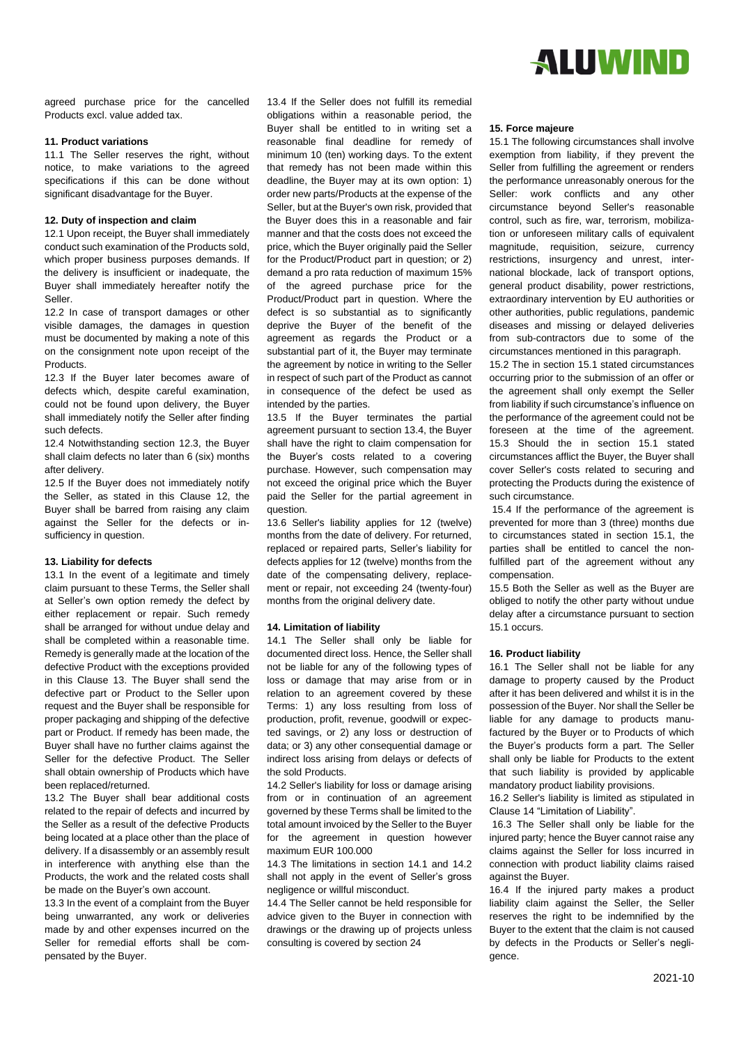

agreed purchase price for the cancelled Products excl. value added tax.

# **11. Product variations**

11.1 The Seller reserves the right, without notice, to make variations to the agreed specifications if this can be done without significant disadvantage for the Buyer.

# **12. Duty of inspection and claim**

12.1 Upon receipt, the Buyer shall immediately conduct such examination of the Products sold, which proper business purposes demands. If the delivery is insufficient or inadequate, the Buyer shall immediately hereafter notify the Seller.

12.2 In case of transport damages or other visible damages, the damages in question must be documented by making a note of this on the consignment note upon receipt of the **Products** 

12.3 If the Buyer later becomes aware of defects which, despite careful examination, could not be found upon delivery, the Buyer shall immediately notify the Seller after finding such defects.

12.4 Notwithstanding section 12.3, the Buyer shall claim defects no later than 6 (six) months after delivery.

12.5 If the Buyer does not immediately notify the Seller, as stated in this Clause 12, the Buyer shall be barred from raising any claim against the Seller for the defects or insufficiency in question.

# **13. Liability for defects**

13.1 In the event of a legitimate and timely claim pursuant to these Terms, the Seller shall at Seller's own option remedy the defect by either replacement or repair. Such remedy shall be arranged for without undue delay and shall be completed within a reasonable time. Remedy is generally made at the location of the defective Product with the exceptions provided in this Clause 13. The Buyer shall send the defective part or Product to the Seller upon request and the Buyer shall be responsible for proper packaging and shipping of the defective part or Product. If remedy has been made, the Buyer shall have no further claims against the Seller for the defective Product. The Seller shall obtain ownership of Products which have been replaced/returned.

13.2 The Buyer shall bear additional costs related to the repair of defects and incurred by the Seller as a result of the defective Products being located at a place other than the place of delivery. If a disassembly or an assembly result in interference with anything else than the Products, the work and the related costs shall be made on the Buyer's own account.

13.3 In the event of a complaint from the Buyer being unwarranted, any work or deliveries made by and other expenses incurred on the Seller for remedial efforts shall be compensated by the Buyer.

13.4 If the Seller does not fulfill its remedial obligations within a reasonable period, the Buyer shall be entitled to in writing set a reasonable final deadline for remedy of minimum 10 (ten) working days. To the extent that remedy has not been made within this deadline, the Buyer may at its own option: 1) order new parts/Products at the expense of the Seller, but at the Buyer's own risk, provided that the Buyer does this in a reasonable and fair manner and that the costs does not exceed the price, which the Buyer originally paid the Seller for the Product/Product part in question; or 2) demand a pro rata reduction of maximum 15% of the agreed purchase price for the Product/Product part in question. Where the defect is so substantial as to significantly deprive the Buyer of the benefit of the agreement as regards the Product or a substantial part of it, the Buyer may terminate the agreement by notice in writing to the Seller in respect of such part of the Product as cannot in consequence of the defect be used as intended by the parties.

13.5 If the Buyer terminates the partial agreement pursuant to section 13.4, the Buyer shall have the right to claim compensation for the Buyer's costs related to a covering purchase. However, such compensation may not exceed the original price which the Buyer paid the Seller for the partial agreement in question.

13.6 Seller's liability applies for 12 (twelve) months from the date of delivery. For returned, replaced or repaired parts, Seller's liability for defects applies for 12 (twelve) months from the date of the compensating delivery, replacement or repair, not exceeding 24 (twenty-four) months from the original delivery date.

## **14. Limitation of liability**

14.1 The Seller shall only be liable for documented direct loss. Hence, the Seller shall not be liable for any of the following types of loss or damage that may arise from or in relation to an agreement covered by these Terms: 1) any loss resulting from loss of production, profit, revenue, goodwill or expected savings, or 2) any loss or destruction of data; or 3) any other consequential damage or indirect loss arising from delays or defects of the sold Products.

14.2 Seller's liability for loss or damage arising from or in continuation of an agreement governed by these Terms shall be limited to the total amount invoiced by the Seller to the Buyer for the agreement in question however maximum EUR 100.000

14.3 The limitations in section 14.1 and 14.2 shall not apply in the event of Seller's gross negligence or willful misconduct.

14.4 The Seller cannot be held responsible for advice given to the Buyer in connection with drawings or the drawing up of projects unless consulting is covered by section 24

## **15. Force majeure**

15.1 The following circumstances shall involve exemption from liability, if they prevent the Seller from fulfilling the agreement or renders the performance unreasonably onerous for the Seller: work conflicts and any other circumstance beyond Seller's reasonable control, such as fire, war, terrorism, mobilization or unforeseen military calls of equivalent magnitude, requisition, seizure, currency restrictions, insurgency and unrest, international blockade, lack of transport options, general product disability, power restrictions, extraordinary intervention by EU authorities or other authorities, public regulations, pandemic diseases and missing or delayed deliveries from sub-contractors due to some of the circumstances mentioned in this paragraph.

15.2 The in section 15.1 stated circumstances occurring prior to the submission of an offer or the agreement shall only exempt the Seller from liability if such circumstance's influence on the performance of the agreement could not be foreseen at the time of the agreement. 15.3 Should the in section 15.1 stated circumstances afflict the Buyer, the Buyer shall cover Seller's costs related to securing and protecting the Products during the existence of such circumstance.

15.4 If the performance of the agreement is prevented for more than 3 (three) months due to circumstances stated in section 15.1, the parties shall be entitled to cancel the nonfulfilled part of the agreement without any compensation.

15.5 Both the Seller as well as the Buyer are obliged to notify the other party without undue delay after a circumstance pursuant to section 15.1 occurs.

## **16. Product liability**

16.1 The Seller shall not be liable for any damage to property caused by the Product after it has been delivered and whilst it is in the possession of the Buyer. Nor shall the Seller be liable for any damage to products manufactured by the Buyer or to Products of which the Buyer's products form a part. The Seller shall only be liable for Products to the extent that such liability is provided by applicable mandatory product liability provisions.

16.2 Seller's liability is limited as stipulated in Clause 14 "Limitation of Liability".

16.3 The Seller shall only be liable for the injured party; hence the Buyer cannot raise any claims against the Seller for loss incurred in connection with product liability claims raised against the Buyer.

16.4 If the injured party makes a product liability claim against the Seller, the Seller reserves the right to be indemnified by the Buyer to the extent that the claim is not caused by defects in the Products or Seller's negligence.